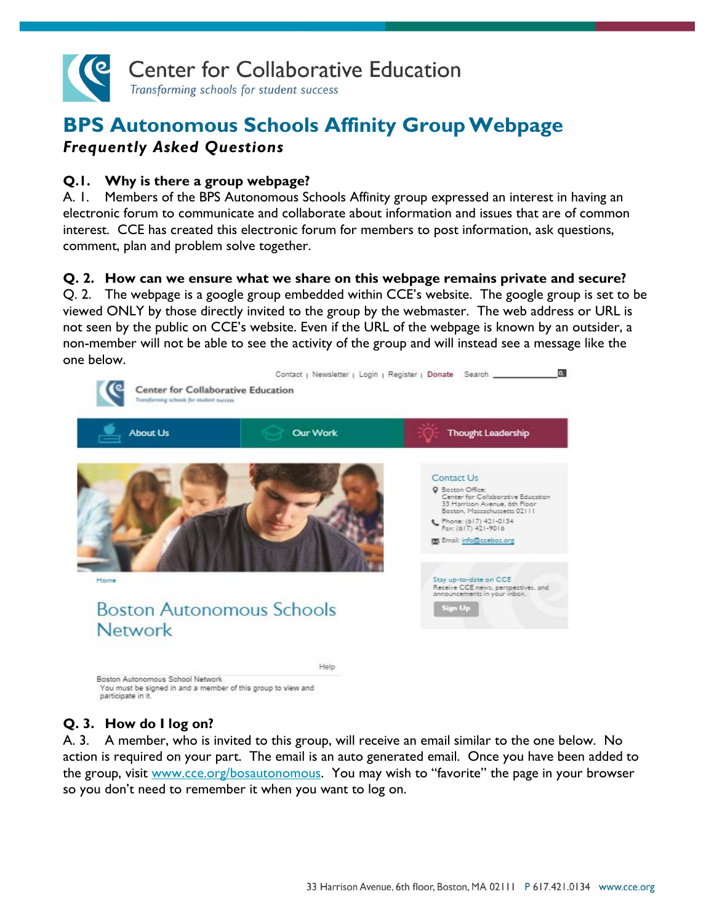

# **BPS Autonomous Schools Affinity GroupWebpage** *Frequently Asked Questions*

### **Q.1. Why is there a group webpage?**

A. 1. Members of the BPS Autonomous Schools Affinity group expressed an interest in having an electronic forum to communicate and collaborate about information and issues that are of common interest. CCE has created this electronic forum for members to post information, ask questions, comment, plan and problem solve together.

#### **Q. 2. How can we ensure what we share on this webpage remains private and secure?**

Q. 2. The webpage is a google group embedded within CCE's website. The google group is set to be viewed ONLY by those directly invited to the group by the webmaster. The web address or URL is not seen by the public on CCE's website. Even if the URL of the webpage is known by an outsider, a non-member will not be able to see the activity of the group and will instead see a message like the one below.



You must be signed in and a member of this group to view and participate in it

# **Q. 3. How do I log on?**

A. 3. A member, who is invited to this group, will receive an email similar to the one below. No action is required on your part. The email is an auto generated email. Once you have been added to the group, visit [www.cce.org/bosautonomous.](http://www.cce.org/bosautonomous) You may wish to "favorite" the page in your browser so you don't need to remember it when you want to log on.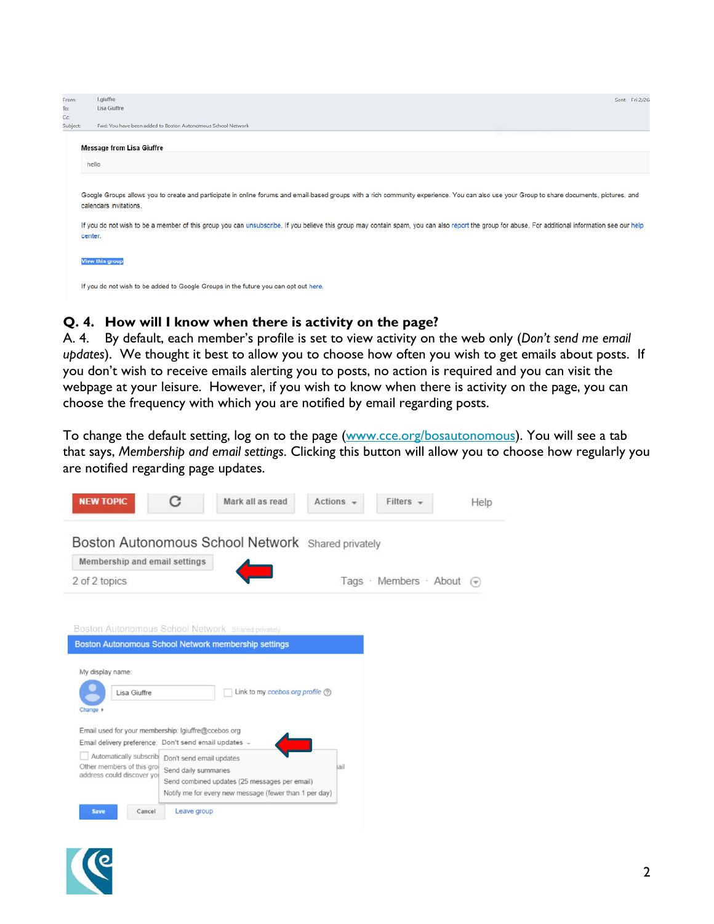| From:<br>To:<br>Cc | I.giuffre<br>Sent: Fri 2/26<br>Lisa Giuffre                                                                                                                                                                                                                                                                                                                                                                                          |
|--------------------|--------------------------------------------------------------------------------------------------------------------------------------------------------------------------------------------------------------------------------------------------------------------------------------------------------------------------------------------------------------------------------------------------------------------------------------|
| Subject:           | Fwd: You have been added to Boston Autonomous School Network                                                                                                                                                                                                                                                                                                                                                                         |
|                    | <b>Message from Lisa Giuffre</b>                                                                                                                                                                                                                                                                                                                                                                                                     |
|                    | hello                                                                                                                                                                                                                                                                                                                                                                                                                                |
|                    | Google Groups allows you to create and participate in online forums and email-based groups with a rich community experience. You can also use your Group to share documents, pictures, and<br>calendars invitations.<br>If you do not wish to be a member of this group you can unsubscribe. If you believe this group may contain spam, you can also report the group for abuse. For additional information see our help<br>center. |
|                    | View this group                                                                                                                                                                                                                                                                                                                                                                                                                      |
|                    | If you do not wish to be added to Google Groups in the future you can opt out here.                                                                                                                                                                                                                                                                                                                                                  |

# **Q. 4. How will I know when there is activity on the page?**

A. 4. By default, each member's profile is set to view activity on the web only (*Don't send me email updates*). We thought it best to allow you to choose how often you wish to get emails about posts. If you don't wish to receive emails alerting you to posts, no action is required and you can visit the webpage at your leisure. However, if you wish to know when there is activity on the page, you can choose the frequency with which you are notified by email regarding posts.

To change the default setting, log on to the page [\(www.cce.org/bosautonomous\)](http://www.cce.org/bosautonomous). You will see a tab that says, *Membership and email settings*. Clicking this button will allow you to choose how regularly you are notified regarding page updates.



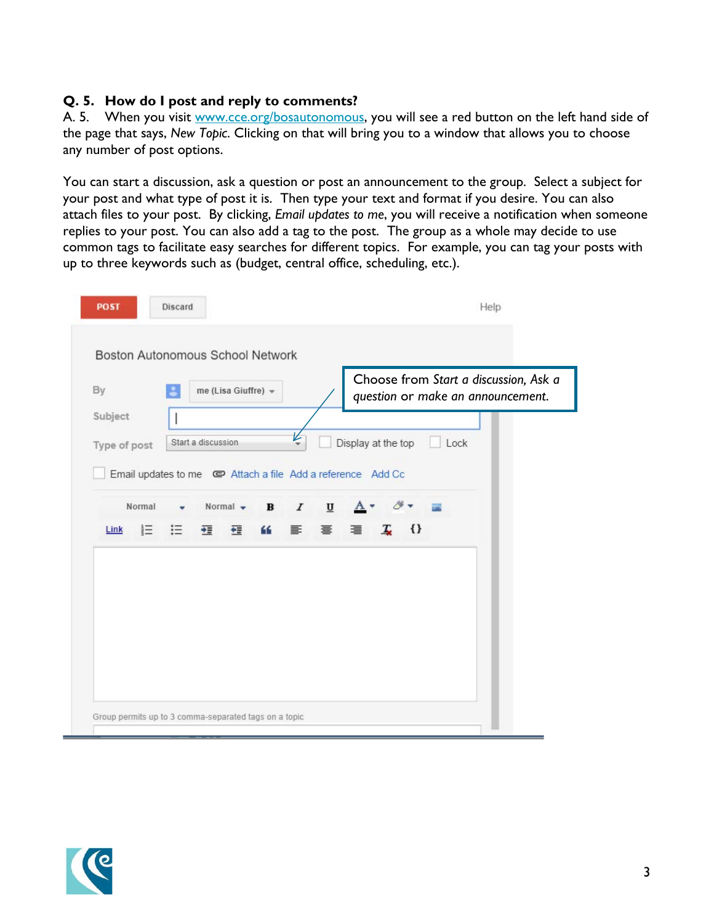### **Q. 5. How do I post and reply to comments?**

A. 5. When you visit [www.cce.org/bosautonomous,](http://www.cce.org/bosautonomous) you will see a red button on the left hand side of the page that says, *New Topic*. Clicking on that will bring you to a window that allows you to choose any number of post options.

You can start a discussion, ask a question or post an announcement to the group. Select a subject for your post and what type of post it is. Then type your text and format if you desire. You can also attach files to your post. By clicking, *Email updates to me*, you will receive a notification when someone replies to your post. You can also add a tag to the post. The group as a whole may decide to use common tags to facilitate easy searches for different topics. For example, you can tag your posts with up to three keywords such as (budget, central office, scheduling, etc.).

| By<br>me (Lisa Giuffre) =<br>L |                    |                                                                              |                                       |                              | Choose from Start a discussion, Ask a<br>question or make an announcement. |                         |      |  |
|--------------------------------|--------------------|------------------------------------------------------------------------------|---------------------------------------|------------------------------|----------------------------------------------------------------------------|-------------------------|------|--|
| Subject<br>Type of post        | Start a discussion | Email updates to me $\qquadblacksquare$ Attach a file Add a reference Add Cc | ı                                     |                              | Display at the top                                                         |                         | Lock |  |
| Normal<br>這<br>Link            | 這                  | Normal $\bullet$<br>狂<br>任<br>66                                             | $\mathbf{B}$<br>$\boldsymbol{I}$<br>틀 | $\overline{\mathbf{u}}$<br>畺 | A<br>I.<br>亖                                                               | $\rightarrow$<br>$\{\}$ |      |  |
|                                |                    |                                                                              |                                       |                              |                                                                            |                         |      |  |